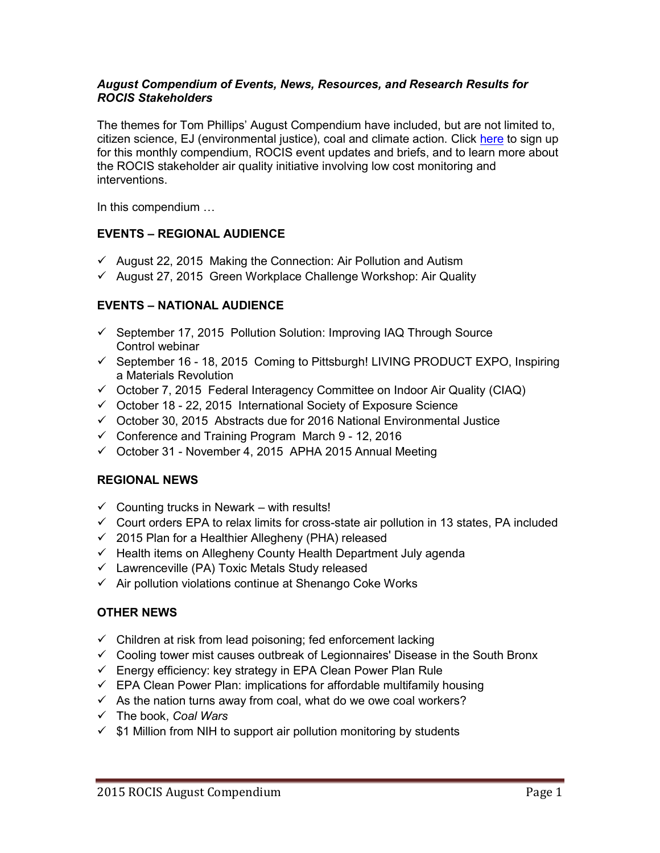### *August Compendium of Events, News, Resources, and Research Results for ROCIS Stakeholders*

The themes for Tom Phillips' August Compendium have included, but are not limited to, citizen science, EJ (environmental justice), coal and climate action. Click [here](http://rocis.org/) to sign up for this monthly compendium, ROCIS event updates and briefs, and to learn more about the ROCIS stakeholder air quality initiative involving low cost monitoring and interventions.

In this compendium …

# **EVENTS – REGIONAL AUDIENCE**

- $\checkmark$  August 22, 2015 Making the Connection: Air Pollution and Autism
- $\checkmark$  August 27, 2015 Green Workplace Challenge Workshop: Air Quality

# **EVENTS – NATIONAL AUDIENCE**

- $\checkmark$  September 17, 2015 Pollution Solution: Improving IAQ Through Source Control webinar
- $\checkmark$  September 16 18, 2015 Coming to Pittsburgh! LIVING PRODUCT EXPO, Inspiring a Materials Revolution
- $\checkmark$  October 7, 2015 Federal Interagency Committee on Indoor Air Quality (CIAQ)
- $\checkmark$  October 18 22, 2015 International Society of Exposure Science
- $\checkmark$  October 30, 2015 Abstracts due for 2016 National Environmental Justice
- $\checkmark$  Conference and Training Program March 9 12, 2016
- $\checkmark$  October 31 November 4, 2015 APHA 2015 Annual Meeting

# **REGIONAL NEWS**

- $\checkmark$  Counting trucks in Newark with results!
- $\checkmark$  Court orders EPA to relax limits for cross-state air pollution in 13 states, PA included
- $\checkmark$  2015 Plan for a Healthier Allegheny (PHA) released
- $\checkmark$  Health items on Allegheny County Health Department July agenda
- $\checkmark$  Lawrenceville (PA) Toxic Metals Study released
- $\checkmark$  Air pollution violations continue at Shenango Coke Works

# **OTHER NEWS**

- $\checkmark$  Children at risk from lead poisoning; fed enforcement lacking
- $\checkmark$  Cooling tower mist causes outbreak of Legionnaires' Disease in the South Bronx
- $\checkmark$  Energy efficiency: key strategy in EPA Clean Power Plan Rule
- $\checkmark$  EPA Clean Power Plan: implications for affordable multifamily housing
- $\checkmark$  As the nation turns away from coal, what do we owe coal workers?
- The book, *Coal Wars*
- $\checkmark$  \$1 Million from NIH to support air pollution monitoring by students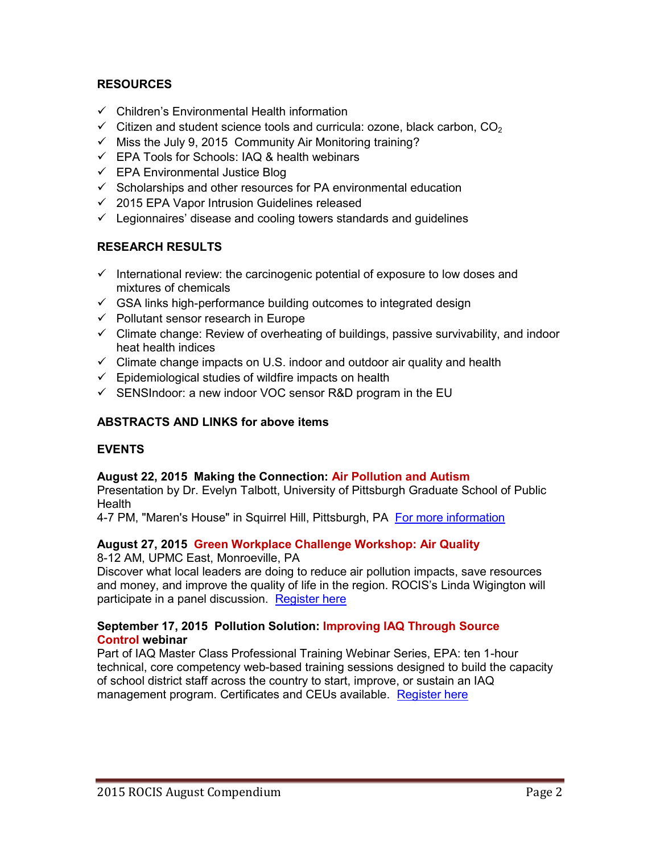# **RESOURCES**

- $\checkmark$  Children's Environmental Health information
- $\checkmark$  Citizen and student science tools and curricula: ozone, black carbon, CO<sub>2</sub>
- $\checkmark$  Miss the July 9, 2015 Community Air Monitoring training?
- $\checkmark$  EPA Tools for Schools: IAQ & health webinars
- $\checkmark$  EPA Environmental Justice Blog
- $\checkmark$  Scholarships and other resources for PA environmental education
- $\checkmark$  2015 EPA Vapor Intrusion Guidelines released
- $\checkmark$  Legionnaires' disease and cooling towers standards and quidelines

# **RESEARCH RESULTS**

- $\checkmark$  International review: the carcinogenic potential of exposure to low doses and mixtures of chemicals
- $\checkmark$  GSA links high-performance building outcomes to integrated design
- $\checkmark$  Pollutant sensor research in Europe
- $\checkmark$  Climate change: Review of overheating of buildings, passive survivability, and indoor heat health indices
- $\checkmark$  Climate change impacts on U.S. indoor and outdoor air quality and health
- $\checkmark$  Epidemiological studies of wildfire impacts on health
- $\checkmark$  SENSIndoor: a new indoor VOC sensor R&D program in the EU

# **ABSTRACTS AND LINKS for above items**

# **EVENTS**

# **August 22, 2015 Making the Connection: Air Pollution and Autism**

Presentation by Dr. Evelyn Talbott, University of Pittsburgh Graduate School of Public Health

4-7 PM, "Maren's House" in Squirrel Hill, Pittsburgh, PA [For more information](http://gasp-pgh.org/2015/08/05/making-the-connection-air-pollution-and-autism/)

# **August 27, 2015 Green Workplace Challenge Workshop: Air Quality**

8-12 AM, UPMC East, Monroeville, PA

Discover what local leaders are doing to reduce air pollution impacts, save resources and money, and improve the quality of life in the region. ROCIS's Linda Wigington will participate in a panel discussion. [Register here](http://www.gwcpgh.org/index.php/for-participants/register-for-workshops)

# **September 17, 2015 Pollution Solution: Improving IAQ Through Source Control webinar**

Part of IAQ Master Class Professional Training Webinar Series, EPA: ten 1-hour technical, core competency web-based training sessions designed to build the capacity of school district staff across the country to start, improve, or sustain an IAQ management program. Certificates and CEUs available. [Register here](http://www.epa.gov/iaq/schools/webconferences.html)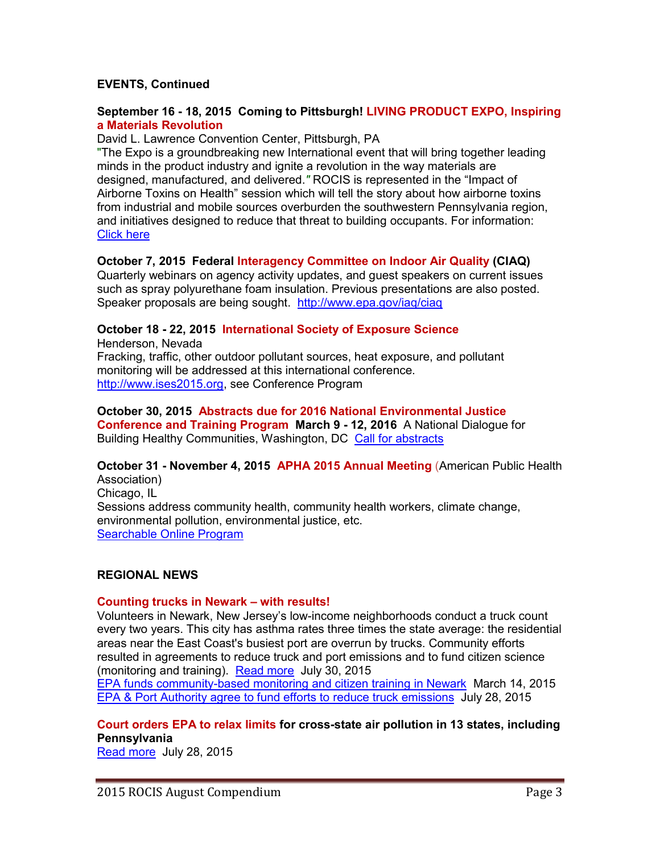# **EVENTS, Continued**

### **September 16 - 18, 2015 Coming to Pittsburgh! LIVING PRODUCT EXPO, Inspiring a Materials Revolution**

David L. Lawrence Convention Center, Pittsburgh, PA

"The Expo is a groundbreaking new International event that will bring together leading minds in the product industry and ignite a revolution in the way materials are designed, manufactured, and delivered.*"* ROCIS is represented in the "Impact of Airborne Toxins on Health" session which will tell the story about how airborne toxins from industrial and mobile sources overburden the southwestern Pennsylvania region, and initiatives designed to reduce that threat to building occupants. For information: [Click here](http://www.livingproductexpo.org/)

# **October 7, 2015 Federal Interagency Committee on Indoor Air Quality (CIAQ)**

Quarterly webinars on agency activity updates, and guest speakers on current issues such as spray polyurethane foam insulation. Previous presentations are also posted. Speaker proposals are being sought. <http://www.epa.gov/iaq/ciaq>

# **October 18 - 22, 2015 International Society of Exposure Science**

Henderson, Nevada Fracking, traffic, other outdoor pollutant sources, heat exposure, and pollutant monitoring will be addressed at this international conference. [http://www.ises2015.org,](http://www.ises2015.org/) see Conference Program

# **October 30, 2015 Abstracts due for 2016 National Environmental Justice**

**Conference and Training Program March 9 - 12, 2016** A National Dialogue for Building Healthy Communities, Washington, DC [Call for abstracts](http://energy.gov/lm/downloads/2016-call-abstracts)

# **October 31 - November 4, 2015 APHA 2015 Annual Meeting** (American Public Health Association)

Chicago, IL Sessions address community health, community health workers, climate change, environmental pollution, environmental justice, etc. [Searchable Online Program](http://www.apha.org/events-and-meetings/annual/?gclid=CJukj7vznMcCFQGqaQodKs0KBw)

# **REGIONAL NEWS**

# **Counting trucks in Newark – with results!**

Volunteers in Newark, New Jersey's low-income neighborhoods conduct a truck count every two years. This city has asthma rates three times the state average: the residential areas near the East Coast's busiest port are overrun by trucks. Community efforts resulted in agreements to reduce truck and port emissions and to fund citizen science (monitoring and training). [Read more](http://www.nj.com/news/index.ssf/2015/08/how_1_group_is_using_a_very_low-tech_tool_to_fight_nj_air_pollution.html) July 30, 2015

EPA funds community-based monitoring [and citizen training in Newark](http://www.nj.com/essex/index.ssf/2015/03/newark_to_monitor_air_quality_with_150k_epa_sensor.html) March 14, 2015 [EPA & Port Authority agree to fund efforts to](http://www.nj.com/essex/index.ssf/2015/07/pollution-attacking_agreement_aims_to_cut_truck_id.html) reduce truck emissions July 28, 2015

# **Court orders EPA to relax limits for cross-state air pollution in 13 states, including Pennsylvania**

[Read more](http://www.post-gazette.com/news/environment/2015/07/28/Court-orders-EPA-to-redo-air-pollution-limits-in-13-states-pennsylvania/stories/201507280181) July 28, 2015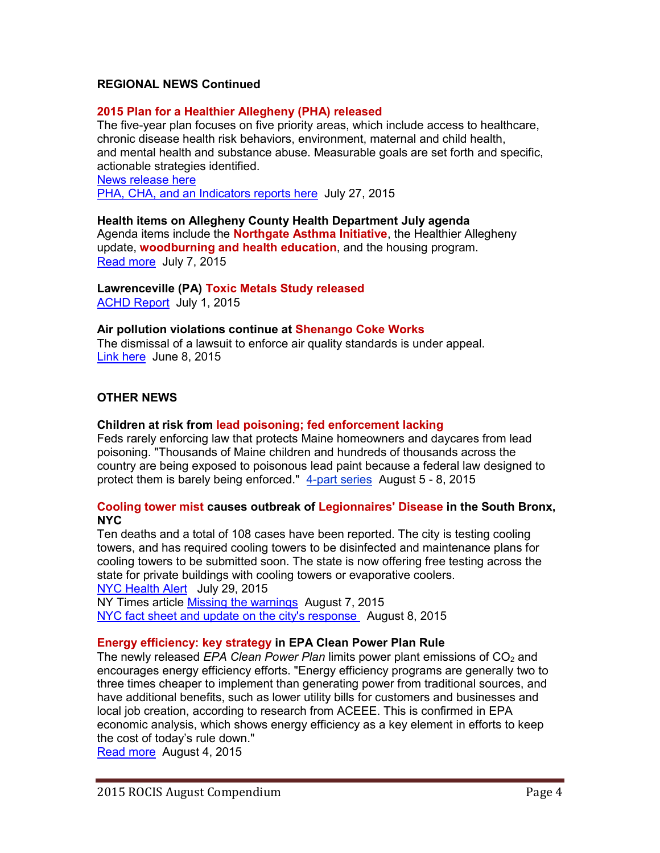# **REGIONAL NEWS Continued**

### **2015 Plan for a Healthier Allegheny (PHA) released**

The five-year plan focuses on five priority areas, which include access to healthcare, chronic disease health risk behaviors, environment, maternal and child health, and mental health and substance abuse. Measurable goals are set forth and specific, actionable strategies identified.

[News release](http://www.achd.net/pr/pubs/2015release/052615_pha.html) here PHA, CHA, [and an Indicators reports here](http://www.achd.net/pha/) July 27, 2015

#### **Health items on Allegheny County Health Department July agenda**

Agenda items include the **Northgate Asthma Initiative**, the Healthier Allegheny update, **woodburning and health education**, and the housing program. [Read more](http://www.achd.net/pr/pubs/2015release/070715_board.html) July 7, 2015

**Lawrenceville (PA) Toxic Metals Study released** [ACHD Report](http://www.achd.net/air/pubs/pdf/070115_LawrencevilleToxicMetals.pdf) July 1, 2015

#### **Air pollution violations continue at Shenango Coke Works**

The dismissal of a lawsuit to enforce air quality standards is under appeal. [Link here](http://gasp-pgh.org/2015/06/08/our-latest-look-at-shenango/) June 8, 2015

#### **OTHER NEWS**

#### **Children at risk from lead poisoning; fed enforcement lacking**

Feds rarely enforcing law that protects Maine homeowners and daycares from lead poisoning. "Thousands of Maine children and hundreds of thousands across the country are being exposed to poisonous lead paint because a federal law designed to protect them is barely being enforced." [4-part series](http://pinetreewatchdog.org/series/danger-lead-paint/) August 5 - 8, 2015

### **Cooling tower mist causes outbreak of Legionnaires' Disease in the South Bronx, NYC**

Ten deaths and a total of 108 cases have been reported. The city is testing cooling towers, and has required cooling towers to be disinfected and maintenance plans for cooling towers to be submitted soon. The state is now offering free testing across the state for private buildings with cooling towers or evaporative coolers. [NYC Health Alert](http://www.nyc.gov/html/doh/html/pr2015/pr030-15.shtml) July 29, 2015

NY Times article [Missing the warnings](http://www.nytimes.com/2015/08/07/opinion/missing-the-warnings-on-legionnaires-disease.html?_r=0) August 7, 2015 [NYC fact sheet and update on the city's response](http://www.nyc.gov/html/doh/html/diseases/cdlegi.shtml) August 8, 2015

#### **Energy efficiency: key strategy in EPA Clean Power Plan Rule**

The newly released *EPA Clean Power Plan* limits power plant emissions of CO<sub>2</sub> and encourages energy efficiency efforts. "Energy efficiency programs are generally two to three times cheaper to implement than generating power from traditional sources, and have additional benefits, such as lower utility bills for customers and businesses and local job creation, according to research from ACEEE. This is confirmed in EPA economic analysis, which shows energy efficiency as a key element in efforts to keep the cost of today's rule down."

[Read more](http://aceee.org/press/2015/08/energy-efficiency-key-compliance) August 4, 2015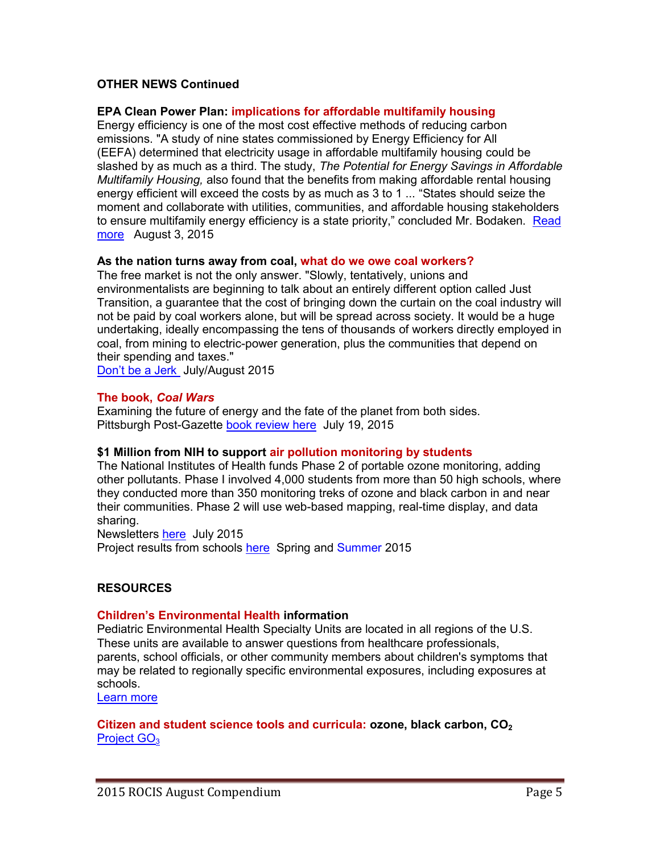# **OTHER NEWS Continued**

### **EPA Clean Power Plan: implications for affordable multifamily housing**

Energy efficiency is one of the most cost effective methods of reducing carbon emissions. "A study of nine states commissioned by Energy Efficiency for All (EEFA) determined that electricity usage in affordable multifamily housing could be slashed by as much as a third. The study, *The Potential for Energy Savings in Affordable Multifamily Housing,* also found that the benefits from making affordable rental housing energy efficient will exceed the costs by as much as 3 to 1 ... "States should seize the moment and collaborate with utilities, communities, and affordable housing stakeholders to ensure multifamily energy efficiency is a state priority," concluded Mr. Bodaken. Read [more](http://www.energyefficiencyforall.org/updates/nht-supports-epas-clean-power-plan-encourages-states-employ-energy-efficiency-affordable) August 3, 2015

### **As the nation turns away from coal, what do we owe coal workers?**

The free market is not the only answer. "Slowly, tentatively, unions and environmentalists are beginning to talk about an entirely different option called Just Transition, a guarantee that the cost of bringing down the curtain on the coal industry will not be paid by coal workers alone, but will be spread across society. It would be a huge undertaking, ideally encompassing the tens of thousands of workers directly employed in coal, from mining to electric-power generation, plus the communities that depend on their spending and taxes."

Don'[t be a Jerk](http://www.sierraclub.org/sierra/2015-4-july-august/feature/how-support-clean-energy-and-not-be-jerk) July/August 2015

### **The book,** *Coal Wars*

Examining the future of energy and the fate of the planet from both sides. Pittsburgh Post-Gazette [book review here](http://www.post-gazette.com/ae/books/2015/07/19/Book-review-Coal-Wars-looks-at-the-environmental-impact-of-burning-coal/stories/201507190033) July 19, 2015

# **\$1 Million from NIH to support air pollution monitoring by students**

The National Institutes of Health funds Phase 2 of portable ozone monitoring, adding other pollutants. Phase I involved 4,000 students from more than 50 high schools, where they conducted more than 350 monitoring treks of ozone and black carbon in and near their communities. Phase 2 will use web-based mapping, real-time display, and data sharing.

Newsletters [here](http://www.twobtech.com/newsletters.htm) July 2015

Project results from schools [here](http://go3project.com/network2/index.php/blogs?search=&orderby=creation_date&show=1&category=20&page=&tag=&start_date=&end_date=) Spring and Summer 2015

# **RESOURCES**

#### **Children's Environmental Health information**

Pediatric Environmental Health Specialty Units are located in all regions of the U.S. These units are available to answer questions from healthcare professionals, parents, school officials, or other community members about children's symptoms that may be related to regionally specific environmental exposures, including exposures at schools.

[Learn more](http://www2.epa.gov/children/where-you-live)

### **Citizen and student science tools and curricula: ozone, black carbon, CO<sup>2</sup>** Project GO<sub>3</sub>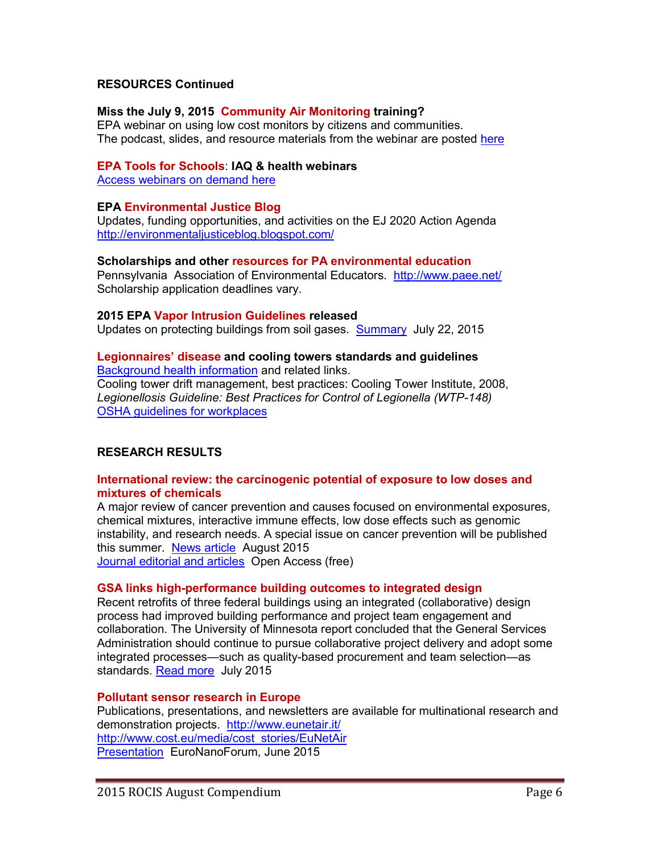# **RESOURCES Continued**

# **Miss the July 9, 2015 Community Air Monitoring training?**

EPA webinar on using low cost monitors by citizens and communities. The podcast, slides, and resource materials from the webinar are posted [here](http://www.epa.gov/heasd/airsensortoolbox/)

### **EPA Tools for Schools**: **IAQ & health webinars**

[Access webinars on demand here](http://www.epa.gov/iaq/schools/webconferences.html)

### **EPA Environmental Justice Blog**

Updates, funding opportunities, and activities on the EJ 2020 Action Agenda <http://environmentaljusticeblog.blogspot.com/>

### **Scholarships and other resources for PA environmental education**

Pennsylvania Association of Environmental Educators. <http://www.paee.net/> Scholarship application deadlines vary.

### **2015 EPA Vapor Intrusion Guidelines released**

Updates on protecting buildings from soil gases. [Summary](http://www.nixonpeabody.com/EPA_2015_vapor_intrusion_guides) July 22, 2015

#### **Legionnaires' disease and cooling towers standards and guidelines** [Background health information](http://www.cdc.gov/legionella/outbreaks.html) and related links.

Cooling tower drift management, best practices: Cooling Tower Institute, 2008, *Legionellosis Guideline: Best Practices for Control of Legionella (WTP-148)* [OSHA guidelines for workplaces](https://www.osha.gov/dts/osta/otm/otm_iii/otm_iii_7.html,%20https:/www.osha.gov/dts/osta/otm/legionnaires/cool_evap.html)

# **RESEARCH RESULTS**

### **International review: the carcinogenic potential of exposure to low doses and mixtures of chemicals**

A major review of cancer prevention and causes focused on environmental exposures, chemical mixtures, interactive immune effects, low dose effects such as genomic instability, and research needs. A special issue on cancer prevention will be published this summer. [News article](https://www2.buildinggreen.com/article/how-safe-chemicals-could-team-cause-cancer) August 2015

[Journal editorial and articles](http://carcin.oxfordjournals.org/content/36/Suppl_1.toc) Open Access (free)

# **GSA links high-performance building outcomes to integrated design**

Recent retrofits of three federal buildings using an integrated (collaborative) design process had improved building performance and project team engagement and collaboration. The University of Minnesota report concluded that the General Services Administration should continue to pursue collaborative project delivery and adopt some integrated processes—such as quality-based procurement and team selection—as standards. [Read more](https://www2.buildinggreen.com/article/gsa-links-high-performance-outcomes-integrated-design) July 2015

# **Pollutant sensor research in Europe**

Publications, presentations, and newsletters are available for multinational research and demonstration projects. <http://www.eunetair.it/> [http://www.cost.eu/media/cost\\_stories/EuNetAir](http://www.cost.eu/media/cost_stories/EuNetAir) [Presentation](http://www.eunetair.it/cost/strategic/EuroNanoForum_2015/02_ENF-2015_RIGA_COST_EuNetAir_Penza_V2.pdf) EuroNanoForum, June 2015